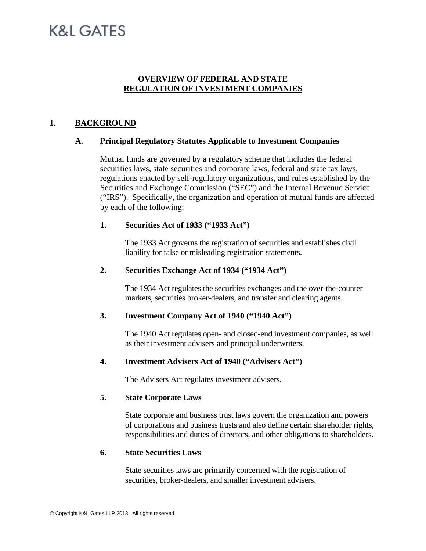# K&I GATES

## **OVERVIEW OF FEDERAL AND STATE REGULATION OF INVESTMENT COMPANIES**

## **I. BACKGROUND**

## **A. Principal Regulatory Statutes Applicable to Investment Companies**

Mutual funds are governed by a regulatory scheme that includes the federal securities laws, state securities and corporate laws, federal and state tax laws, regulations enacted by self-regulatory organizations, and rules established by the Securities and Exchange Commission ("SEC") and the Internal Revenue Service ("IRS"). Specifically, the organization and operation of mutual funds are affected by each of the following:

## **1. Securities Act of 1933 ("1933 Act")**

The 1933 Act governs the registration of securities and establishes civil liability for false or misleading registration statements.

#### **2. Securities Exchange Act of 1934 ("1934 Act")**

The 1934 Act regulates the securities exchanges and the over-the-counter markets, securities broker-dealers, and transfer and clearing agents.

## **3. Investment Company Act of 1940 ("1940 Act")**

The 1940 Act regulates open- and closed-end investment companies, as well as their investment advisers and principal underwriters.

## **4. Investment Advisers Act of 1940 ("Advisers Act")**

The Advisers Act regulates investment advisers.

## **5. State Corporate Laws**

State corporate and business trust laws govern the organization and powers of corporations and business trusts and also define certain shareholder rights, responsibilities and duties of directors, and other obligations to shareholders.

## **6. State Securities Laws**

State securities laws are primarily concerned with the registration of securities, broker-dealers, and smaller investment advisers.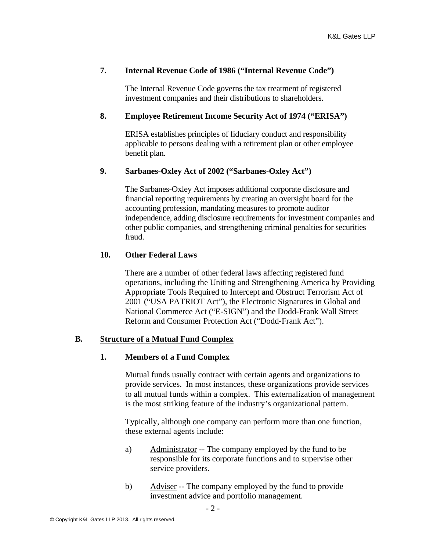## **7. Internal Revenue Code of 1986 ("Internal Revenue Code")**

The Internal Revenue Code governs the tax treatment of registered investment companies and their distributions to shareholders.

## **8. Employee Retirement Income Security Act of 1974 ("ERISA")**

ERISA establishes principles of fiduciary conduct and responsibility applicable to persons dealing with a retirement plan or other employee benefit plan.

## **9. Sarbanes-Oxley Act of 2002 ("Sarbanes-Oxley Act")**

The Sarbanes-Oxley Act imposes additional corporate disclosure and financial reporting requirements by creating an oversight board for the accounting profession, mandating measures to promote auditor independence, adding disclosure requirements for investment companies and other public companies, and strengthening criminal penalties for securities fraud.

## **10. Other Federal Laws**

There are a number of other federal laws affecting registered fund operations, including the Uniting and Strengthening America by Providing Appropriate Tools Required to Intercept and Obstruct Terrorism Act of 2001 ("USA PATRIOT Act"), the Electronic Signatures in Global and National Commerce Act ("E-SIGN") and the Dodd-Frank Wall Street Reform and Consumer Protection Act ("Dodd-Frank Act").

## **B. Structure of a Mutual Fund Complex**

## **1. Members of a Fund Complex**

Mutual funds usually contract with certain agents and organizations to provide services. In most instances, these organizations provide services to all mutual funds within a complex. This externalization of management is the most striking feature of the industry's organizational pattern.

Typically, although one company can perform more than one function, these external agents include:

- a) Administrator -- The company employed by the fund to be responsible for its corporate functions and to supervise other service providers.
- b) Adviser -- The company employed by the fund to provide investment advice and portfolio management.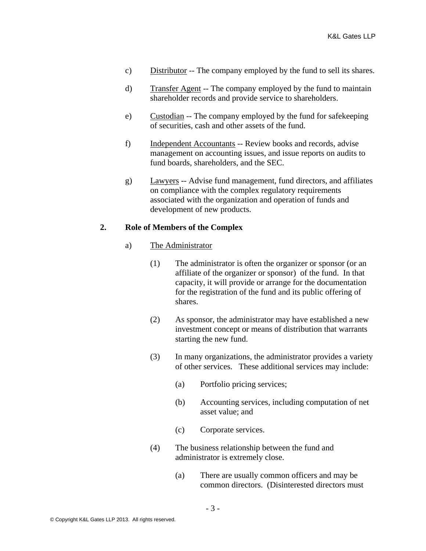- c) Distributor -- The company employed by the fund to sell its shares.
- d) Transfer Agent -- The company employed by the fund to maintain shareholder records and provide service to shareholders.
- e) Custodian -- The company employed by the fund for safekeeping of securities, cash and other assets of the fund.
- f) Independent Accountants -- Review books and records, advise management on accounting issues, and issue reports on audits to fund boards, shareholders, and the SEC.
- g) Lawyers -- Advise fund management, fund directors, and affiliates on compliance with the complex regulatory requirements associated with the organization and operation of funds and development of new products.

## **2. Role of Members of the Complex**

- a) The Administrator
	- (1) The administrator is often the organizer or sponsor (or an affiliate of the organizer or sponsor) of the fund. In that capacity, it will provide or arrange for the documentation for the registration of the fund and its public offering of shares.
	- (2) As sponsor, the administrator may have established a new investment concept or means of distribution that warrants starting the new fund.
	- (3) In many organizations, the administrator provides a variety of other services. These additional services may include:
		- (a) Portfolio pricing services;
		- (b) Accounting services, including computation of net asset value; and
		- (c) Corporate services.
	- (4) The business relationship between the fund and administrator is extremely close.
		- (a) There are usually common officers and may be common directors. (Disinterested directors must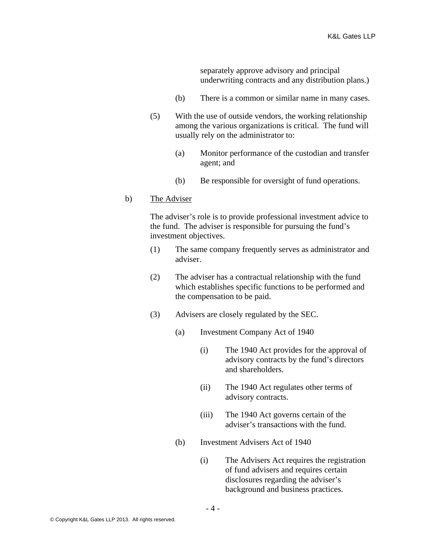separately approve advisory and principal underwriting contracts and any distribution plans.)

- (b) There is a common or similar name in many cases.
- (5) With the use of outside vendors, the working relationship among the various organizations is critical. The fund will usually rely on the administrator to:
	- (a) Monitor performance of the custodian and transfer agent; and
	- (b) Be responsible for oversight of fund operations.

## b) The Adviser

The adviser's role is to provide professional investment advice to the fund. The adviser is responsible for pursuing the fund's investment objectives.

- (1) The same company frequently serves as administrator and adviser.
- (2) The adviser has a contractual relationship with the fund which establishes specific functions to be performed and the compensation to be paid.
- (3) Advisers are closely regulated by the SEC.
	- (a) Investment Company Act of 1940
		- (i) The 1940 Act provides for the approval of advisory contracts by the fund's directors and shareholders.
		- (ii) The 1940 Act regulates other terms of advisory contracts.
		- (iii) The 1940 Act governs certain of the adviser's transactions with the fund.
	- (b) Investment Advisers Act of 1940
		- (i) The Advisers Act requires the registration of fund advisers and requires certain disclosures regarding the adviser's background and business practices.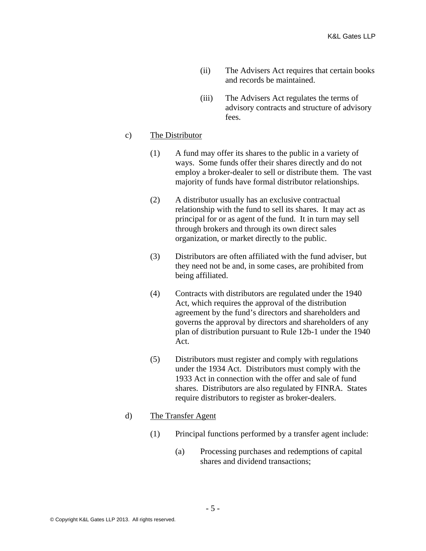- (ii) The Advisers Act requires that certain books and records be maintained.
- (iii) The Advisers Act regulates the terms of advisory contracts and structure of advisory fees.

## c) The Distributor

- (1) A fund may offer its shares to the public in a variety of ways. Some funds offer their shares directly and do not employ a broker-dealer to sell or distribute them. The vast majority of funds have formal distributor relationships.
- (2) A distributor usually has an exclusive contractual relationship with the fund to sell its shares. It may act as principal for or as agent of the fund. It in turn may sell through brokers and through its own direct sales organization, or market directly to the public.
- (3) Distributors are often affiliated with the fund adviser, but they need not be and, in some cases, are prohibited from being affiliated.
- (4) Contracts with distributors are regulated under the 1940 Act, which requires the approval of the distribution agreement by the fund's directors and shareholders and governs the approval by directors and shareholders of any plan of distribution pursuant to Rule 12b-1 under the 1940 Act.
- (5) Distributors must register and comply with regulations under the 1934 Act. Distributors must comply with the 1933 Act in connection with the offer and sale of fund shares. Distributors are also regulated by FINRA. States require distributors to register as broker-dealers.

# d) The Transfer Agent

- (1) Principal functions performed by a transfer agent include:
	- (a) Processing purchases and redemptions of capital shares and dividend transactions;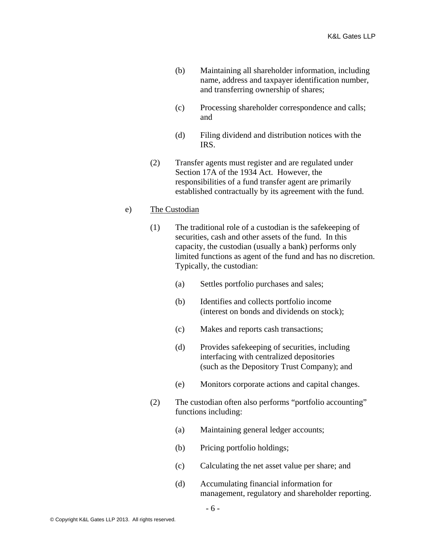- (b) Maintaining all shareholder information, including name, address and taxpayer identification number, and transferring ownership of shares;
- (c) Processing shareholder correspondence and calls; and
- (d) Filing dividend and distribution notices with the IRS.
- (2) Transfer agents must register and are regulated under Section 17A of the 1934 Act. However, the responsibilities of a fund transfer agent are primarily established contractually by its agreement with the fund.

## e) The Custodian

- (1) The traditional role of a custodian is the safekeeping of securities, cash and other assets of the fund. In this capacity, the custodian (usually a bank) performs only limited functions as agent of the fund and has no discretion. Typically, the custodian:
	- (a) Settles portfolio purchases and sales;
	- (b) Identifies and collects portfolio income (interest on bonds and dividends on stock);
	- (c) Makes and reports cash transactions;
	- (d) Provides safekeeping of securities, including interfacing with centralized depositories (such as the Depository Trust Company); and
	- (e) Monitors corporate actions and capital changes.
- (2) The custodian often also performs "portfolio accounting" functions including:
	- (a) Maintaining general ledger accounts;
	- (b) Pricing portfolio holdings;
	- (c) Calculating the net asset value per share; and
	- (d) Accumulating financial information for management, regulatory and shareholder reporting.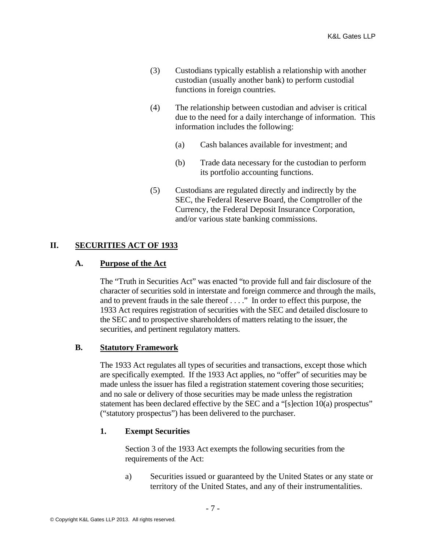- (3) Custodians typically establish a relationship with another custodian (usually another bank) to perform custodial functions in foreign countries.
- (4) The relationship between custodian and adviser is critical due to the need for a daily interchange of information. This information includes the following:
	- (a) Cash balances available for investment; and
	- (b) Trade data necessary for the custodian to perform its portfolio accounting functions.
- (5) Custodians are regulated directly and indirectly by the SEC, the Federal Reserve Board, the Comptroller of the Currency, the Federal Deposit Insurance Corporation, and/or various state banking commissions.

## **II. SECURITIES ACT OF 1933**

## **A. Purpose of the Act**

The "Truth in Securities Act" was enacted "to provide full and fair disclosure of the character of securities sold in interstate and foreign commerce and through the mails, and to prevent frauds in the sale thereof . . . ." In order to effect this purpose, the 1933 Act requires registration of securities with the SEC and detailed disclosure to the SEC and to prospective shareholders of matters relating to the issuer, the securities, and pertinent regulatory matters.

## **B. Statutory Framework**

The 1933 Act regulates all types of securities and transactions, except those which are specifically exempted. If the 1933 Act applies, no "offer" of securities may be made unless the issuer has filed a registration statement covering those securities; and no sale or delivery of those securities may be made unless the registration statement has been declared effective by the SEC and a "[s]ection 10(a) prospectus" ("statutory prospectus") has been delivered to the purchaser.

## **1. Exempt Securities**

Section 3 of the 1933 Act exempts the following securities from the requirements of the Act:

a) Securities issued or guaranteed by the United States or any state or territory of the United States, and any of their instrumentalities.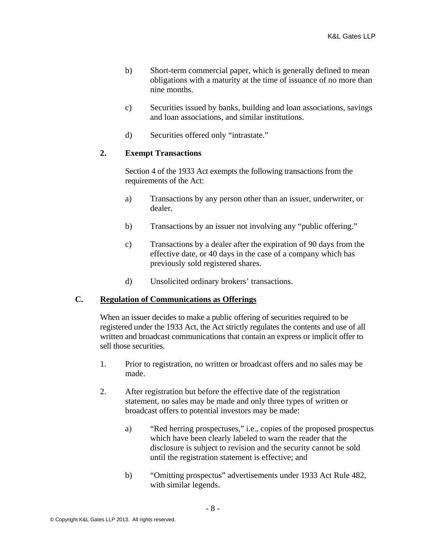- b) Short-term commercial paper, which is generally defined to mean obligations with a maturity at the time of issuance of no more than nine months.
- c) Securities issued by banks, building and loan associations, savings and loan associations, and similar institutions.
- d) Securities offered only "intrastate."

## **2. Exempt Transactions**

Section 4 of the 1933 Act exempts the following transactions from the requirements of the Act:

- a) Transactions by any person other than an issuer, underwriter, or dealer.
- b) Transactions by an issuer not involving any "public offering."
- c) Transactions by a dealer after the expiration of 90 days from the effective date, or 40 days in the case of a company which has previously sold registered shares.
- d) Unsolicited ordinary brokers' transactions.

## **C. Regulation of Communications as Offerings**

When an issuer decides to make a public offering of securities required to be registered under the 1933 Act, the Act strictly regulates the contents and use of all written and broadcast communications that contain an express or implicit offer to sell those securities.

- 1. Prior to registration, no written or broadcast offers and no sales may be made.
- 2. After registration but before the effective date of the registration statement, no sales may be made and only three types of written or broadcast offers to potential investors may be made:
	- a) "Red herring prospectuses," i.e., copies of the proposed prospectus which have been clearly labeled to warn the reader that the disclosure is subject to revision and the security cannot be sold until the registration statement is effective; and
	- b) "Omitting prospectus" advertisements under 1933 Act Rule 482, with similar legends.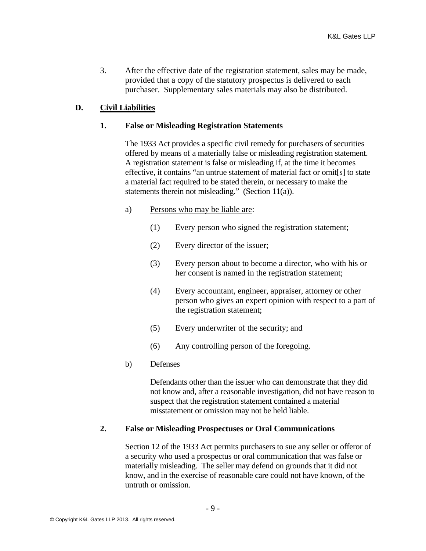3. After the effective date of the registration statement, sales may be made, provided that a copy of the statutory prospectus is delivered to each purchaser. Supplementary sales materials may also be distributed.

## **D. Civil Liabilities**

#### **1. False or Misleading Registration Statements**

The 1933 Act provides a specific civil remedy for purchasers of securities offered by means of a materially false or misleading registration statement. A registration statement is false or misleading if, at the time it becomes effective, it contains "an untrue statement of material fact or omit[s] to state a material fact required to be stated therein, or necessary to make the statements therein not misleading." (Section 11(a)).

#### a) Persons who may be liable are:

- (1) Every person who signed the registration statement;
- (2) Every director of the issuer;
- (3) Every person about to become a director, who with his or her consent is named in the registration statement;
- (4) Every accountant, engineer, appraiser, attorney or other person who gives an expert opinion with respect to a part of the registration statement;
- (5) Every underwriter of the security; and
- (6) Any controlling person of the foregoing.

## b) Defenses

Defendants other than the issuer who can demonstrate that they did not know and, after a reasonable investigation, did not have reason to suspect that the registration statement contained a material misstatement or omission may not be held liable.

## **2. False or Misleading Prospectuses or Oral Communications**

Section 12 of the 1933 Act permits purchasers to sue any seller or offeror of a security who used a prospectus or oral communication that was false or materially misleading. The seller may defend on grounds that it did not know, and in the exercise of reasonable care could not have known, of the untruth or omission.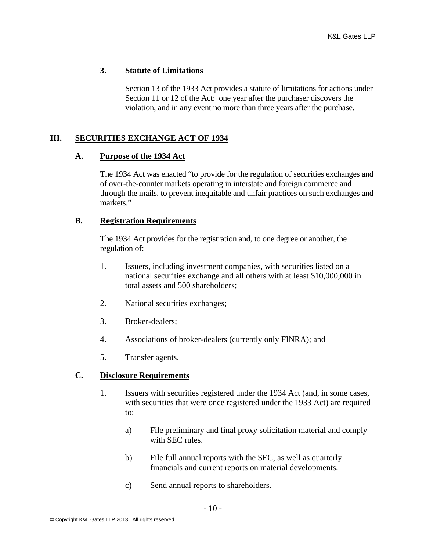## **3. Statute of Limitations**

Section 13 of the 1933 Act provides a statute of limitations for actions under Section 11 or 12 of the Act: one year after the purchaser discovers the violation, and in any event no more than three years after the purchase.

## **III. SECURITIES EXCHANGE ACT OF 1934**

## **A. Purpose of the 1934 Act**

The 1934 Act was enacted "to provide for the regulation of securities exchanges and of over-the-counter markets operating in interstate and foreign commerce and through the mails, to prevent inequitable and unfair practices on such exchanges and markets."

## **B. Registration Requirements**

The 1934 Act provides for the registration and, to one degree or another, the regulation of:

- 1. Issuers, including investment companies, with securities listed on a national securities exchange and all others with at least \$10,000,000 in total assets and 500 shareholders;
- 2. National securities exchanges;
- 3. Broker-dealers;
- 4. Associations of broker-dealers (currently only FINRA); and
- 5. Transfer agents.

## **C. Disclosure Requirements**

- 1. Issuers with securities registered under the 1934 Act (and, in some cases, with securities that were once registered under the 1933 Act) are required to:
	- a) File preliminary and final proxy solicitation material and comply with SEC rules.
	- b) File full annual reports with the SEC, as well as quarterly financials and current reports on material developments.
	- c) Send annual reports to shareholders.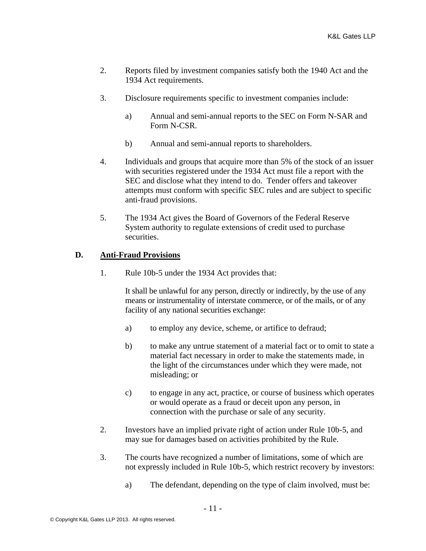- 2. Reports filed by investment companies satisfy both the 1940 Act and the 1934 Act requirements.
- 3. Disclosure requirements specific to investment companies include:
	- a) Annual and semi-annual reports to the SEC on Form N-SAR and Form N-CSR.
	- b) Annual and semi-annual reports to shareholders.
- 4. Individuals and groups that acquire more than 5% of the stock of an issuer with securities registered under the 1934 Act must file a report with the SEC and disclose what they intend to do. Tender offers and takeover attempts must conform with specific SEC rules and are subject to specific anti-fraud provisions.
- 5. The 1934 Act gives the Board of Governors of the Federal Reserve System authority to regulate extensions of credit used to purchase securities.

## **D. Anti-Fraud Provisions**

1. Rule 10b-5 under the 1934 Act provides that:

It shall be unlawful for any person, directly or indirectly, by the use of any means or instrumentality of interstate commerce, or of the mails, or of any facility of any national securities exchange:

- a) to employ any device, scheme, or artifice to defraud;
- b) to make any untrue statement of a material fact or to omit to state a material fact necessary in order to make the statements made, in the light of the circumstances under which they were made, not misleading; or
- c) to engage in any act, practice, or course of business which operates or would operate as a fraud or deceit upon any person, in connection with the purchase or sale of any security.
- 2. Investors have an implied private right of action under Rule 10b-5, and may sue for damages based on activities prohibited by the Rule.
- 3. The courts have recognized a number of limitations, some of which are not expressly included in Rule 10b-5, which restrict recovery by investors:
	- a) The defendant, depending on the type of claim involved, must be: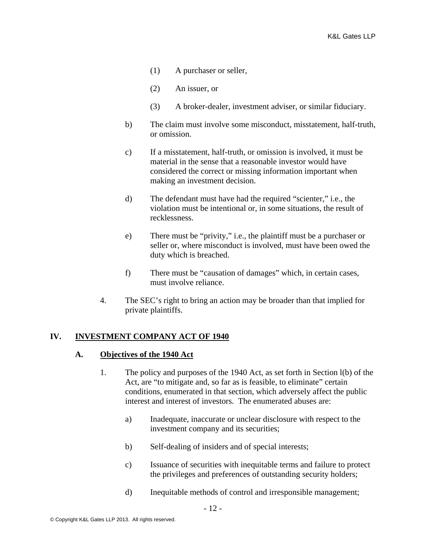- (1) A purchaser or seller,
- (2) An issuer, or
- (3) A broker-dealer, investment adviser, or similar fiduciary.
- b) The claim must involve some misconduct, misstatement, half-truth, or omission.
- c) If a misstatement, half-truth, or omission is involved, it must be material in the sense that a reasonable investor would have considered the correct or missing information important when making an investment decision.
- d) The defendant must have had the required "scienter," i.e., the violation must be intentional or, in some situations, the result of recklessness.
- e) There must be "privity," i.e., the plaintiff must be a purchaser or seller or, where misconduct is involved, must have been owed the duty which is breached.
- f) There must be "causation of damages" which, in certain cases, must involve reliance.
- 4. The SEC's right to bring an action may be broader than that implied for private plaintiffs.

# **IV. INVESTMENT COMPANY ACT OF 1940**

## **A. Objectives of the 1940 Act**

- 1. The policy and purposes of the 1940 Act, as set forth in Section l(b) of the Act, are "to mitigate and, so far as is feasible, to eliminate" certain conditions, enumerated in that section, which adversely affect the public interest and interest of investors. The enumerated abuses are:
	- a) Inadequate, inaccurate or unclear disclosure with respect to the investment company and its securities;
	- b) Self-dealing of insiders and of special interests;
	- c) Issuance of securities with inequitable terms and failure to protect the privileges and preferences of outstanding security holders;
	- d) Inequitable methods of control and irresponsible management;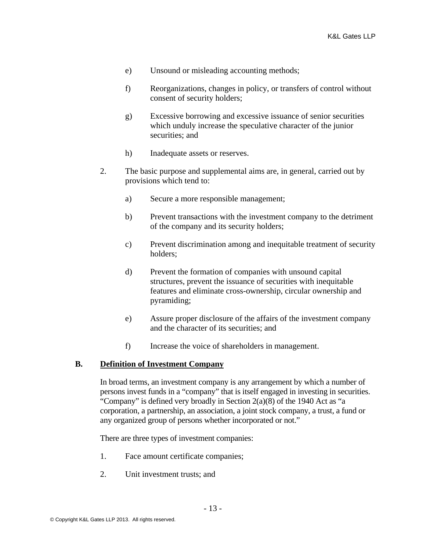- e) Unsound or misleading accounting methods;
- f) Reorganizations, changes in policy, or transfers of control without consent of security holders;
- g) Excessive borrowing and excessive issuance of senior securities which unduly increase the speculative character of the junior securities; and
- h) Inadequate assets or reserves.
- 2. The basic purpose and supplemental aims are, in general, carried out by provisions which tend to:
	- a) Secure a more responsible management;
	- b) Prevent transactions with the investment company to the detriment of the company and its security holders;
	- c) Prevent discrimination among and inequitable treatment of security holders;
	- d) Prevent the formation of companies with unsound capital structures, prevent the issuance of securities with inequitable features and eliminate cross-ownership, circular ownership and pyramiding;
	- e) Assure proper disclosure of the affairs of the investment company and the character of its securities; and
	- f) Increase the voice of shareholders in management.

#### **B. Definition of Investment Company**

In broad terms, an investment company is any arrangement by which a number of persons invest funds in a "company" that is itself engaged in investing in securities. "Company" is defined very broadly in Section 2(a)(8) of the 1940 Act as "a corporation, a partnership, an association, a joint stock company, a trust, a fund or any organized group of persons whether incorporated or not."

There are three types of investment companies:

- 1. Face amount certificate companies;
- 2. Unit investment trusts; and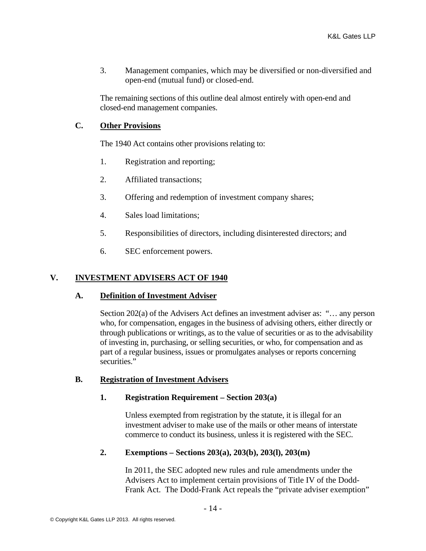3. Management companies, which may be diversified or non-diversified and open-end (mutual fund) or closed-end.

The remaining sections of this outline deal almost entirely with open-end and closed-end management companies.

# **C. Other Provisions**

The 1940 Act contains other provisions relating to:

- 1. Registration and reporting;
- 2. Affiliated transactions;
- 3. Offering and redemption of investment company shares;
- 4. Sales load limitations;
- 5. Responsibilities of directors, including disinterested directors; and
- 6. SEC enforcement powers.

# **V. INVESTMENT ADVISERS ACT OF 1940**

## **A. Definition of Investment Adviser**

Section 202(a) of the Advisers Act defines an investment adviser as: "… any person who, for compensation, engages in the business of advising others, either directly or through publications or writings, as to the value of securities or as to the advisability of investing in, purchasing, or selling securities, or who, for compensation and as part of a regular business, issues or promulgates analyses or reports concerning securities."

## **B. Registration of Investment Advisers**

## **1. Registration Requirement – Section 203(a)**

Unless exempted from registration by the statute, it is illegal for an investment adviser to make use of the mails or other means of interstate commerce to conduct its business, unless it is registered with the SEC.

# **2. Exemptions – Sections 203(a), 203(b), 203(l), 203(m)**

In 2011, the SEC adopted new rules and rule amendments under the Advisers Act to implement certain provisions of Title IV of the Dodd-Frank Act. The Dodd-Frank Act repeals the "private adviser exemption"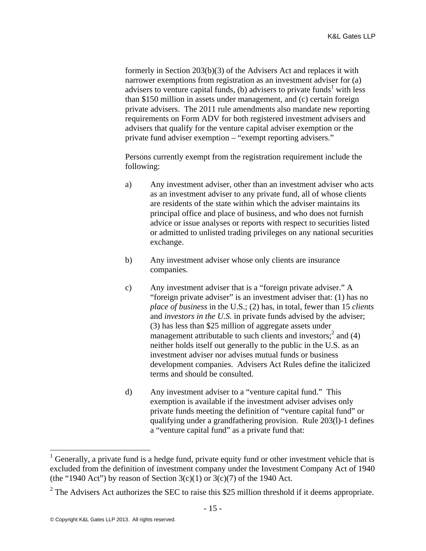formerly in Section 203(b)(3) of the Advisers Act and replaces it with narrower exemptions from registration as an investment adviser for (a) advisers to venture capital funds, (b) advisers to private funds<sup>1</sup> with less than \$150 million in assets under management, and (c) certain foreign private advisers. The 2011 rule amendments also mandate new reporting requirements on Form ADV for both registered investment advisers and advisers that qualify for the venture capital adviser exemption or the private fund adviser exemption – "exempt reporting advisers."

Persons currently exempt from the registration requirement include the following:

- a) Any investment adviser, other than an investment adviser who acts as an investment adviser to any private fund, all of whose clients are residents of the state within which the adviser maintains its principal office and place of business, and who does not furnish advice or issue analyses or reports with respect to securities listed or admitted to unlisted trading privileges on any national securities exchange.
- b) Any investment adviser whose only clients are insurance companies.
- c) Any investment adviser that is a "foreign private adviser." A "foreign private adviser" is an investment adviser that: (1) has no *place of business* in the U.S.; (2) has, in total, fewer than 15 *clients* and *investors in the U.S.* in private funds advised by the adviser; (3) has less than \$25 million of aggregate assets under management attributable to such clients and investors;<sup>2</sup> and (4) neither holds itself out generally to the public in the U.S. as an investment adviser nor advises mutual funds or business development companies. Advisers Act Rules define the italicized terms and should be consulted.
- d) Any investment adviser to a "venture capital fund." This exemption is available if the investment adviser advises only private funds meeting the definition of "venture capital fund" or qualifying under a grandfathering provision. Rule 203(l)-1 defines a "venture capital fund" as a private fund that:

<sup>&</sup>lt;sup>1</sup> Generally, a private fund is a hedge fund, private equity fund or other investment vehicle that is excluded from the definition of investment company under the Investment Company Act of 1940 (the "1940 Act") by reason of Section  $3(c)(1)$  or  $3(c)(7)$  of the 1940 Act.

<sup>&</sup>lt;sup>2</sup> The Advisers Act authorizes the SEC to raise this \$25 million threshold if it deems appropriate.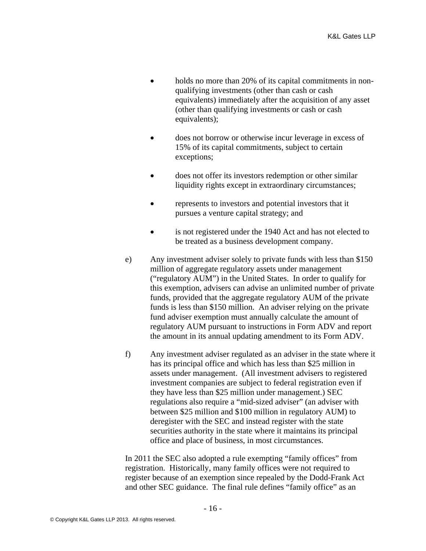- holds no more than 20% of its capital commitments in nonqualifying investments (other than cash or cash equivalents) immediately after the acquisition of any asset (other than qualifying investments or cash or cash equivalents);
- does not borrow or otherwise incur leverage in excess of 15% of its capital commitments, subject to certain exceptions;
- does not offer its investors redemption or other similar liquidity rights except in extraordinary circumstances;
- represents to investors and potential investors that it pursues a venture capital strategy; and
- is not registered under the 1940 Act and has not elected to be treated as a business development company.
- e) Any investment adviser solely to private funds with less than \$150 million of aggregate regulatory assets under management ("regulatory AUM") in the United States. In order to qualify for this exemption, advisers can advise an unlimited number of private funds, provided that the aggregate regulatory AUM of the private funds is less than \$150 million. An adviser relying on the private fund adviser exemption must annually calculate the amount of regulatory AUM pursuant to instructions in Form ADV and report the amount in its annual updating amendment to its Form ADV.
- f) Any investment adviser regulated as an adviser in the state where it has its principal office and which has less than \$25 million in assets under management. (All investment advisers to registered investment companies are subject to federal registration even if they have less than \$25 million under management.) SEC regulations also require a "mid-sized adviser" (an adviser with between \$25 million and \$100 million in regulatory AUM) to deregister with the SEC and instead register with the state securities authority in the state where it maintains its principal office and place of business, in most circumstances.

In 2011 the SEC also adopted a rule exempting "family offices" from registration. Historically, many family offices were not required to register because of an exemption since repealed by the Dodd-Frank Act and other SEC guidance. The final rule defines "family office" as an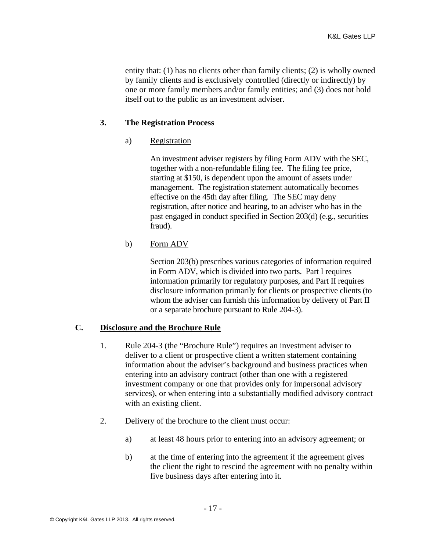entity that: (1) has no clients other than family clients; (2) is wholly owned by family clients and is exclusively controlled (directly or indirectly) by one or more family members and/or family entities; and (3) does not hold itself out to the public as an investment adviser.

## **3. The Registration Process**

## a) Registration

An investment adviser registers by filing Form ADV with the SEC, together with a non-refundable filing fee. The filing fee price, starting at \$150, is dependent upon the amount of assets under management. The registration statement automatically becomes effective on the 45th day after filing. The SEC may deny registration, after notice and hearing, to an adviser who has in the past engaged in conduct specified in Section 203(d) (e.g., securities fraud).

# b) Form ADV

Section 203(b) prescribes various categories of information required in Form ADV, which is divided into two parts. Part I requires information primarily for regulatory purposes, and Part II requires disclosure information primarily for clients or prospective clients (to whom the adviser can furnish this information by delivery of Part II or a separate brochure pursuant to Rule 204-3).

## **C. Disclosure and the Brochure Rule**

- 1. Rule 204-3 (the "Brochure Rule") requires an investment adviser to deliver to a client or prospective client a written statement containing information about the adviser's background and business practices when entering into an advisory contract (other than one with a registered investment company or one that provides only for impersonal advisory services), or when entering into a substantially modified advisory contract with an existing client.
- 2. Delivery of the brochure to the client must occur:
	- a) at least 48 hours prior to entering into an advisory agreement; or
	- b) at the time of entering into the agreement if the agreement gives the client the right to rescind the agreement with no penalty within five business days after entering into it.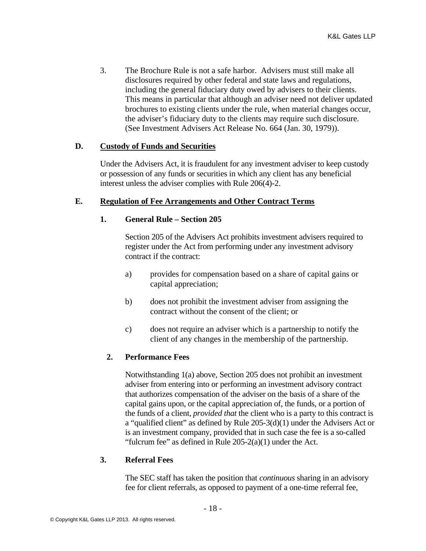3. The Brochure Rule is not a safe harbor. Advisers must still make all disclosures required by other federal and state laws and regulations, including the general fiduciary duty owed by advisers to their clients. This means in particular that although an adviser need not deliver updated brochures to existing clients under the rule, when material changes occur, the adviser's fiduciary duty to the clients may require such disclosure. (See Investment Advisers Act Release No. 664 (Jan. 30, 1979)).

## **D. Custody of Funds and Securities**

Under the Advisers Act, it is fraudulent for any investment adviser to keep custody or possession of any funds or securities in which any client has any beneficial interest unless the adviser complies with Rule 206(4)-2.

## **E. Regulation of Fee Arrangements and Other Contract Terms**

## **1. General Rule – Section 205**

Section 205 of the Advisers Act prohibits investment advisers required to register under the Act from performing under any investment advisory contract if the contract:

- a) provides for compensation based on a share of capital gains or capital appreciation;
- b) does not prohibit the investment adviser from assigning the contract without the consent of the client; or
- c) does not require an adviser which is a partnership to notify the client of any changes in the membership of the partnership.

# **2. Performance Fees**

Notwithstanding 1(a) above, Section 205 does not prohibit an investment adviser from entering into or performing an investment advisory contract that authorizes compensation of the adviser on the basis of a share of the capital gains upon, or the capital appreciation of, the funds, or a portion of the funds of a client, *provided that* the client who is a party to this contract is a "qualified client" as defined by Rule 205-3(d)(1) under the Advisers Act or is an investment company, provided that in such case the fee is a so-called "fulcrum fee" as defined in Rule  $205-2(a)(1)$  under the Act.

## **3. Referral Fees**

The SEC staff has taken the position that *continuous* sharing in an advisory fee for client referrals, as opposed to payment of a one-time referral fee,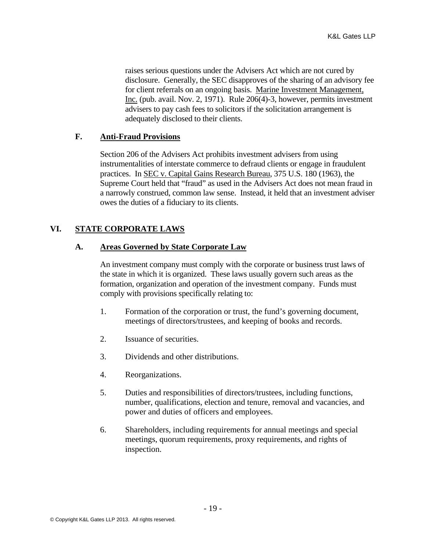raises serious questions under the Advisers Act which are not cured by disclosure. Generally, the SEC disapproves of the sharing of an advisory fee for client referrals on an ongoing basis. Marine Investment Management, Inc. (pub. avail. Nov. 2, 1971). Rule 206(4)-3, however, permits investment advisers to pay cash fees to solicitors if the solicitation arrangement is adequately disclosed to their clients.

## **F. Anti-Fraud Provisions**

Section 206 of the Advisers Act prohibits investment advisers from using instrumentalities of interstate commerce to defraud clients or engage in fraudulent practices. In SEC v. Capital Gains Research Bureau, 375 U.S. 180 (1963), the Supreme Court held that "fraud" as used in the Advisers Act does not mean fraud in a narrowly construed, common law sense. Instead, it held that an investment adviser owes the duties of a fiduciary to its clients.

# **VI. STATE CORPORATE LAWS**

# **A. Areas Governed by State Corporate Law**

An investment company must comply with the corporate or business trust laws of the state in which it is organized. These laws usually govern such areas as the formation, organization and operation of the investment company. Funds must comply with provisions specifically relating to:

- 1. Formation of the corporation or trust, the fund's governing document, meetings of directors/trustees, and keeping of books and records.
- 2. Issuance of securities.
- 3. Dividends and other distributions.
- 4. Reorganizations.
- 5. Duties and responsibilities of directors/trustees, including functions, number, qualifications, election and tenure, removal and vacancies, and power and duties of officers and employees.
- 6. Shareholders, including requirements for annual meetings and special meetings, quorum requirements, proxy requirements, and rights of inspection.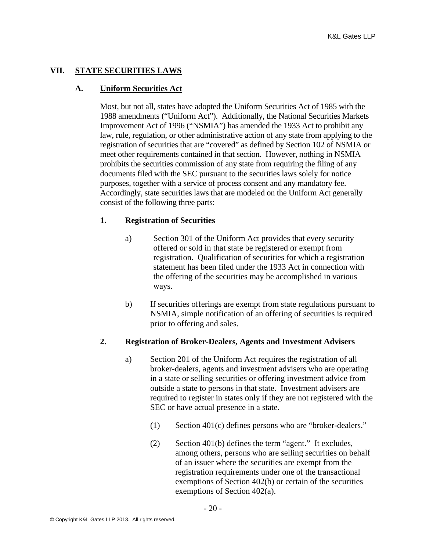## **VII. STATE SECURITIES LAWS**

## **A. Uniform Securities Act**

Most, but not all, states have adopted the Uniform Securities Act of 1985 with the 1988 amendments ("Uniform Act"). Additionally, the National Securities Markets Improvement Act of 1996 ("NSMIA") has amended the 1933 Act to prohibit any law, rule, regulation, or other administrative action of any state from applying to the registration of securities that are "covered" as defined by Section 102 of NSMIA or meet other requirements contained in that section. However, nothing in NSMIA prohibits the securities commission of any state from requiring the filing of any documents filed with the SEC pursuant to the securities laws solely for notice purposes, together with a service of process consent and any mandatory fee. Accordingly, state securities laws that are modeled on the Uniform Act generally consist of the following three parts:

## **1. Registration of Securities**

- a) Section 301 of the Uniform Act provides that every security offered or sold in that state be registered or exempt from registration. Qualification of securities for which a registration statement has been filed under the 1933 Act in connection with the offering of the securities may be accomplished in various ways.
- b) If securities offerings are exempt from state regulations pursuant to NSMIA, simple notification of an offering of securities is required prior to offering and sales.

## **2. Registration of Broker-Dealers, Agents and Investment Advisers**

- a) Section 201 of the Uniform Act requires the registration of all broker-dealers, agents and investment advisers who are operating in a state or selling securities or offering investment advice from outside a state to persons in that state. Investment advisers are required to register in states only if they are not registered with the SEC or have actual presence in a state.
	- (1) Section 401(c) defines persons who are "broker-dealers."
	- (2) Section 401(b) defines the term "agent." It excludes, among others, persons who are selling securities on behalf of an issuer where the securities are exempt from the registration requirements under one of the transactional exemptions of Section 402(b) or certain of the securities exemptions of Section 402(a).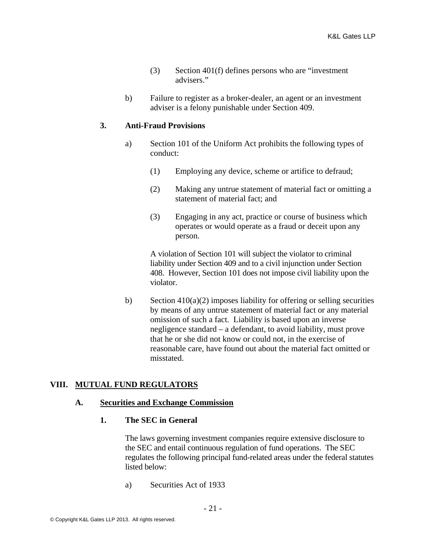- (3) Section 401(f) defines persons who are "investment advisers."
- b) Failure to register as a broker-dealer, an agent or an investment adviser is a felony punishable under Section 409.

## **3. Anti-Fraud Provisions**

- a) Section 101 of the Uniform Act prohibits the following types of conduct:
	- (1) Employing any device, scheme or artifice to defraud;
	- (2) Making any untrue statement of material fact or omitting a statement of material fact; and
	- (3) Engaging in any act, practice or course of business which operates or would operate as a fraud or deceit upon any person.

A violation of Section 101 will subject the violator to criminal liability under Section 409 and to a civil injunction under Section 408. However, Section 101 does not impose civil liability upon the violator.

b) Section  $410(a)(2)$  imposes liability for offering or selling securities by means of any untrue statement of material fact or any material omission of such a fact. Liability is based upon an inverse negligence standard – a defendant, to avoid liability, must prove that he or she did not know or could not, in the exercise of reasonable care, have found out about the material fact omitted or misstated.

# **VIII. MUTUAL FUND REGULATORS**

## **A. Securities and Exchange Commission**

## **1. The SEC in General**

The laws governing investment companies require extensive disclosure to the SEC and entail continuous regulation of fund operations. The SEC regulates the following principal fund-related areas under the federal statutes listed below:

a) Securities Act of 1933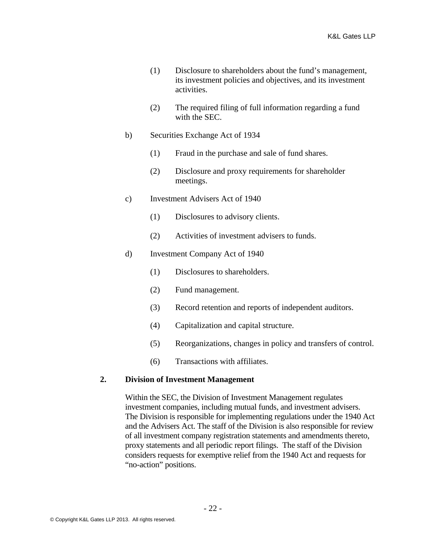- (1) Disclosure to shareholders about the fund's management, its investment policies and objectives, and its investment activities.
- (2) The required filing of full information regarding a fund with the SEC.
- b) Securities Exchange Act of 1934
	- (1) Fraud in the purchase and sale of fund shares.
	- (2) Disclosure and proxy requirements for shareholder meetings.
- c) Investment Advisers Act of 1940
	- (1) Disclosures to advisory clients.
	- (2) Activities of investment advisers to funds.
- d) Investment Company Act of 1940
	- (1) Disclosures to shareholders.
	- (2) Fund management.
	- (3) Record retention and reports of independent auditors.
	- (4) Capitalization and capital structure.
	- (5) Reorganizations, changes in policy and transfers of control.
	- (6) Transactions with affiliates.

#### **2. Division of Investment Management**

Within the SEC, the Division of Investment Management regulates investment companies, including mutual funds, and investment advisers. The Division is responsible for implementing regulations under the 1940 Act and the Advisers Act. The staff of the Division is also responsible for review of all investment company registration statements and amendments thereto, proxy statements and all periodic report filings. The staff of the Division considers requests for exemptive relief from the 1940 Act and requests for "no-action" positions.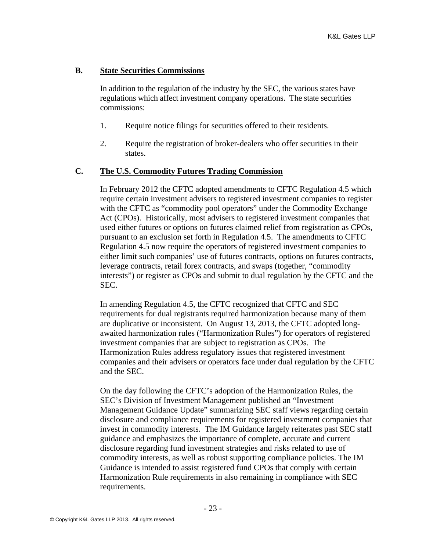## **B. State Securities Commissions**

In addition to the regulation of the industry by the SEC, the various states have regulations which affect investment company operations. The state securities commissions:

- 1. Require notice filings for securities offered to their residents.
- 2. Require the registration of broker-dealers who offer securities in their states.

## **C. The U.S. Commodity Futures Trading Commission**

In February 2012 the CFTC adopted amendments to CFTC Regulation 4.5 which require certain investment advisers to registered investment companies to register with the CFTC as "commodity pool operators" under the Commodity Exchange Act (CPOs). Historically, most advisers to registered investment companies that used either futures or options on futures claimed relief from registration as CPOs, pursuant to an exclusion set forth in Regulation 4.5. The amendments to CFTC Regulation 4.5 now require the operators of registered investment companies to either limit such companies' use of futures contracts, options on futures contracts, leverage contracts, retail forex contracts, and swaps (together, "commodity interests") or register as CPOs and submit to dual regulation by the CFTC and the SEC.

In amending Regulation 4.5, the CFTC recognized that CFTC and SEC requirements for dual registrants required harmonization because many of them are duplicative or inconsistent. On August 13, 2013, the CFTC adopted longawaited harmonization rules ("Harmonization Rules") for operators of registered investment companies that are subject to registration as CPOs. The Harmonization Rules address regulatory issues that registered investment companies and their advisers or operators face under dual regulation by the CFTC and the SEC.

On the day following the CFTC's adoption of the Harmonization Rules, the SEC's Division of Investment Management published an "Investment Management Guidance Update" summarizing SEC staff views regarding certain disclosure and compliance requirements for registered investment companies that invest in commodity interests. The IM Guidance largely reiterates past SEC staff guidance and emphasizes the importance of complete, accurate and current disclosure regarding fund investment strategies and risks related to use of commodity interests, as well as robust supporting compliance policies. The IM Guidance is intended to assist registered fund CPOs that comply with certain Harmonization Rule requirements in also remaining in compliance with SEC requirements.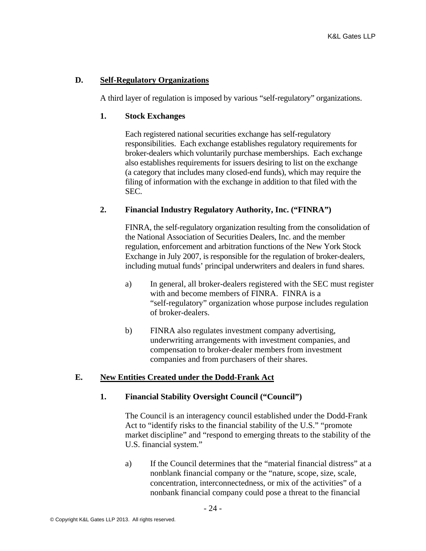## **D. Self-Regulatory Organizations**

A third layer of regulation is imposed by various "self-regulatory" organizations.

## **1. Stock Exchanges**

Each registered national securities exchange has self-regulatory responsibilities. Each exchange establishes regulatory requirements for broker-dealers which voluntarily purchase memberships. Each exchange also establishes requirements for issuers desiring to list on the exchange (a category that includes many closed-end funds), which may require the filing of information with the exchange in addition to that filed with the SEC.

# **2. Financial Industry Regulatory Authority, Inc. ("FINRA")**

FINRA, the self-regulatory organization resulting from the consolidation of the National Association of Securities Dealers, Inc. and the member regulation, enforcement and arbitration functions of the New York Stock Exchange in July 2007, is responsible for the regulation of broker-dealers, including mutual funds' principal underwriters and dealers in fund shares.

- a) In general, all broker-dealers registered with the SEC must register with and become members of FINRA. FINRA is a "self-regulatory" organization whose purpose includes regulation of broker-dealers.
- b) FINRA also regulates investment company advertising, underwriting arrangements with investment companies, and compensation to broker-dealer members from investment companies and from purchasers of their shares.

# **E. New Entities Created under the Dodd-Frank Act**

## **1. Financial Stability Oversight Council ("Council")**

The Council is an interagency council established under the Dodd-Frank Act to "identify risks to the financial stability of the U.S." "promote market discipline" and "respond to emerging threats to the stability of the U.S. financial system."

a) If the Council determines that the "material financial distress" at a nonblank financial company or the "nature, scope, size, scale, concentration, interconnectedness, or mix of the activities" of a nonbank financial company could pose a threat to the financial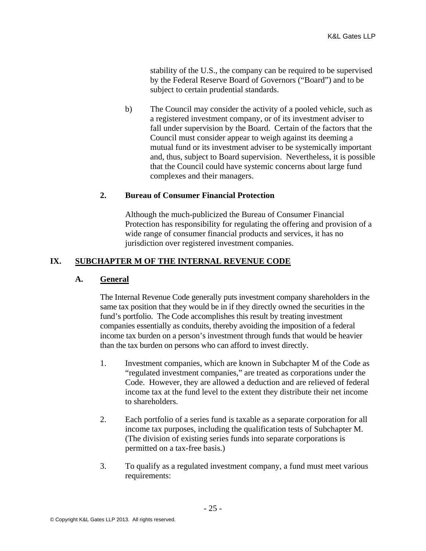stability of the U.S., the company can be required to be supervised by the Federal Reserve Board of Governors ("Board") and to be subject to certain prudential standards.

b) The Council may consider the activity of a pooled vehicle, such as a registered investment company, or of its investment adviser to fall under supervision by the Board. Certain of the factors that the Council must consider appear to weigh against its deeming a mutual fund or its investment adviser to be systemically important and, thus, subject to Board supervision. Nevertheless, it is possible that the Council could have systemic concerns about large fund complexes and their managers.

## **2. Bureau of Consumer Financial Protection**

Although the much-publicized the Bureau of Consumer Financial Protection has responsibility for regulating the offering and provision of a wide range of consumer financial products and services, it has no jurisdiction over registered investment companies.

## **IX. SUBCHAPTER M OF THE INTERNAL REVENUE CODE**

## **A. General**

The Internal Revenue Code generally puts investment company shareholders in the same tax position that they would be in if they directly owned the securities in the fund's portfolio. The Code accomplishes this result by treating investment companies essentially as conduits, thereby avoiding the imposition of a federal income tax burden on a person's investment through funds that would be heavier than the tax burden on persons who can afford to invest directly.

- 1. Investment companies, which are known in Subchapter M of the Code as "regulated investment companies," are treated as corporations under the Code. However, they are allowed a deduction and are relieved of federal income tax at the fund level to the extent they distribute their net income to shareholders.
- 2. Each portfolio of a series fund is taxable as a separate corporation for all income tax purposes, including the qualification tests of Subchapter M. (The division of existing series funds into separate corporations is permitted on a tax-free basis.)
- 3. To qualify as a regulated investment company, a fund must meet various requirements: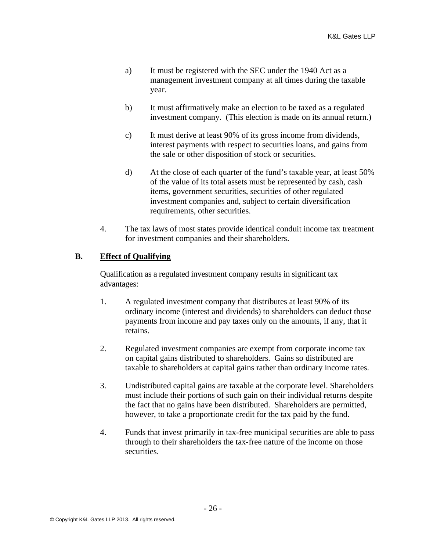- a) It must be registered with the SEC under the 1940 Act as a management investment company at all times during the taxable year.
- b) It must affirmatively make an election to be taxed as a regulated investment company. (This election is made on its annual return.)
- c) It must derive at least 90% of its gross income from dividends, interest payments with respect to securities loans, and gains from the sale or other disposition of stock or securities.
- d) At the close of each quarter of the fund's taxable year, at least 50% of the value of its total assets must be represented by cash, cash items, government securities, securities of other regulated investment companies and, subject to certain diversification requirements, other securities.
- 4. The tax laws of most states provide identical conduit income tax treatment for investment companies and their shareholders.

# **B. Effect of Qualifying**

Qualification as a regulated investment company results in significant tax advantages:

- 1. A regulated investment company that distributes at least 90% of its ordinary income (interest and dividends) to shareholders can deduct those payments from income and pay taxes only on the amounts, if any, that it retains.
- 2. Regulated investment companies are exempt from corporate income tax on capital gains distributed to shareholders. Gains so distributed are taxable to shareholders at capital gains rather than ordinary income rates.
- 3. Undistributed capital gains are taxable at the corporate level. Shareholders must include their portions of such gain on their individual returns despite the fact that no gains have been distributed. Shareholders are permitted, however, to take a proportionate credit for the tax paid by the fund.
- 4. Funds that invest primarily in tax-free municipal securities are able to pass through to their shareholders the tax-free nature of the income on those securities.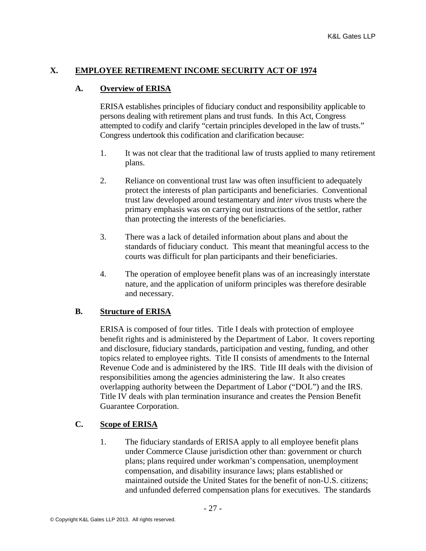## **X. EMPLOYEE RETIREMENT INCOME SECURITY ACT OF 1974**

## **A. Overview of ERISA**

ERISA establishes principles of fiduciary conduct and responsibility applicable to persons dealing with retirement plans and trust funds. In this Act, Congress attempted to codify and clarify "certain principles developed in the law of trusts." Congress undertook this codification and clarification because:

- 1. It was not clear that the traditional law of trusts applied to many retirement plans.
- 2. Reliance on conventional trust law was often insufficient to adequately protect the interests of plan participants and beneficiaries. Conventional trust law developed around testamentary and *inter vivos* trusts where the primary emphasis was on carrying out instructions of the settlor, rather than protecting the interests of the beneficiaries.
- 3. There was a lack of detailed information about plans and about the standards of fiduciary conduct. This meant that meaningful access to the courts was difficult for plan participants and their beneficiaries.
- 4. The operation of employee benefit plans was of an increasingly interstate nature, and the application of uniform principles was therefore desirable and necessary.

## **B. Structure of ERISA**

ERISA is composed of four titles. Title I deals with protection of employee benefit rights and is administered by the Department of Labor. It covers reporting and disclosure, fiduciary standards, participation and vesting, funding, and other topics related to employee rights. Title II consists of amendments to the Internal Revenue Code and is administered by the IRS. Title III deals with the division of responsibilities among the agencies administering the law. It also creates overlapping authority between the Department of Labor ("DOL") and the IRS. Title IV deals with plan termination insurance and creates the Pension Benefit Guarantee Corporation.

# **C. Scope of ERISA**

1. The fiduciary standards of ERISA apply to all employee benefit plans under Commerce Clause jurisdiction other than: government or church plans; plans required under workman's compensation, unemployment compensation, and disability insurance laws; plans established or maintained outside the United States for the benefit of non-U.S. citizens; and unfunded deferred compensation plans for executives. The standards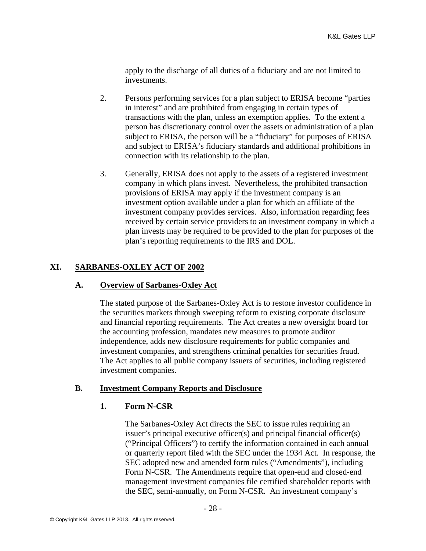apply to the discharge of all duties of a fiduciary and are not limited to investments.

- 2. Persons performing services for a plan subject to ERISA become "parties in interest" and are prohibited from engaging in certain types of transactions with the plan, unless an exemption applies. To the extent a person has discretionary control over the assets or administration of a plan subject to ERISA, the person will be a "fiduciary" for purposes of ERISA and subject to ERISA's fiduciary standards and additional prohibitions in connection with its relationship to the plan.
- 3. Generally, ERISA does not apply to the assets of a registered investment company in which plans invest. Nevertheless, the prohibited transaction provisions of ERISA may apply if the investment company is an investment option available under a plan for which an affiliate of the investment company provides services. Also, information regarding fees received by certain service providers to an investment company in which a plan invests may be required to be provided to the plan for purposes of the plan's reporting requirements to the IRS and DOL.

# **XI. SARBANES-OXLEY ACT OF 2002**

## **A. Overview of Sarbanes-Oxley Act**

The stated purpose of the Sarbanes-Oxley Act is to restore investor confidence in the securities markets through sweeping reform to existing corporate disclosure and financial reporting requirements. The Act creates a new oversight board for the accounting profession, mandates new measures to promote auditor independence, adds new disclosure requirements for public companies and investment companies, and strengthens criminal penalties for securities fraud. The Act applies to all public company issuers of securities, including registered investment companies.

# **B. Investment Company Reports and Disclosure**

## **1. Form N-CSR**

The Sarbanes-Oxley Act directs the SEC to issue rules requiring an issuer's principal executive officer(s) and principal financial officer(s) ("Principal Officers") to certify the information contained in each annual or quarterly report filed with the SEC under the 1934 Act. In response, the SEC adopted new and amended form rules ("Amendments"), including Form N-CSR. The Amendments require that open-end and closed-end management investment companies file certified shareholder reports with the SEC, semi-annually, on Form N-CSR. An investment company's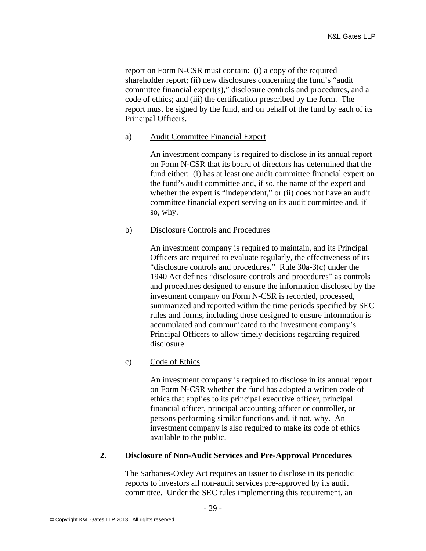report on Form N-CSR must contain: (i) a copy of the required shareholder report; (ii) new disclosures concerning the fund's "audit committee financial expert(s)," disclosure controls and procedures, and a code of ethics; and (iii) the certification prescribed by the form. The report must be signed by the fund, and on behalf of the fund by each of its Principal Officers.

#### a) Audit Committee Financial Expert

An investment company is required to disclose in its annual report on Form N-CSR that its board of directors has determined that the fund either: (i) has at least one audit committee financial expert on the fund's audit committee and, if so, the name of the expert and whether the expert is "independent," or (ii) does not have an audit committee financial expert serving on its audit committee and, if so, why.

## b) Disclosure Controls and Procedures

An investment company is required to maintain, and its Principal Officers are required to evaluate regularly, the effectiveness of its "disclosure controls and procedures." Rule 30a-3(c) under the 1940 Act defines "disclosure controls and procedures" as controls and procedures designed to ensure the information disclosed by the investment company on Form N-CSR is recorded, processed, summarized and reported within the time periods specified by SEC rules and forms, including those designed to ensure information is accumulated and communicated to the investment company's Principal Officers to allow timely decisions regarding required disclosure.

## c) Code of Ethics

An investment company is required to disclose in its annual report on Form N-CSR whether the fund has adopted a written code of ethics that applies to its principal executive officer, principal financial officer, principal accounting officer or controller, or persons performing similar functions and, if not, why. An investment company is also required to make its code of ethics available to the public.

## **2. Disclosure of Non-Audit Services and Pre-Approval Procedures**

The Sarbanes-Oxley Act requires an issuer to disclose in its periodic reports to investors all non-audit services pre-approved by its audit committee. Under the SEC rules implementing this requirement, an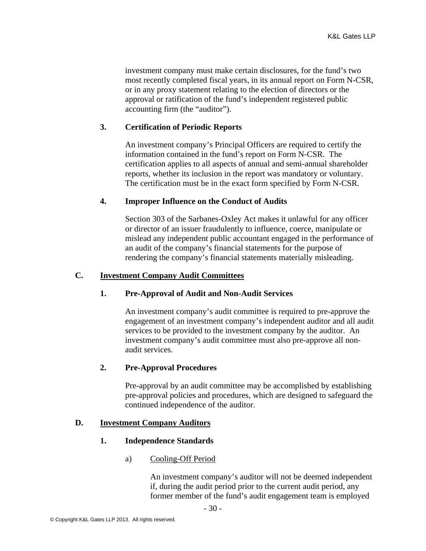investment company must make certain disclosures, for the fund's two most recently completed fiscal years, in its annual report on Form N-CSR, or in any proxy statement relating to the election of directors or the approval or ratification of the fund's independent registered public accounting firm (the "auditor").

## **3. Certification of Periodic Reports**

An investment company's Principal Officers are required to certify the information contained in the fund's report on Form N-CSR. The certification applies to all aspects of annual and semi-annual shareholder reports, whether its inclusion in the report was mandatory or voluntary. The certification must be in the exact form specified by Form N-CSR.

## **4. Improper Influence on the Conduct of Audits**

Section 303 of the Sarbanes-Oxley Act makes it unlawful for any officer or director of an issuer fraudulently to influence, coerce, manipulate or mislead any independent public accountant engaged in the performance of an audit of the company's financial statements for the purpose of rendering the company's financial statements materially misleading.

#### **C. Investment Company Audit Committees**

#### **1. Pre-Approval of Audit and Non-Audit Services**

An investment company's audit committee is required to pre-approve the engagement of an investment company's independent auditor and all audit services to be provided to the investment company by the auditor. An investment company's audit committee must also pre-approve all nonaudit services.

## **2. Pre-Approval Procedures**

Pre-approval by an audit committee may be accomplished by establishing pre-approval policies and procedures, which are designed to safeguard the continued independence of the auditor.

#### **D. Investment Company Auditors**

#### **1. Independence Standards**

## a) Cooling-Off Period

An investment company's auditor will not be deemed independent if, during the audit period prior to the current audit period, any former member of the fund's audit engagement team is employed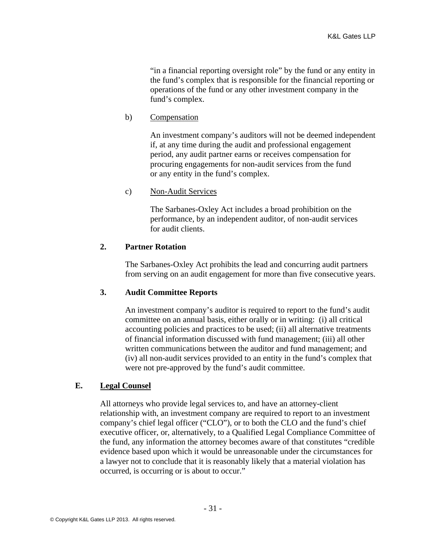"in a financial reporting oversight role" by the fund or any entity in the fund's complex that is responsible for the financial reporting or operations of the fund or any other investment company in the fund's complex.

b) Compensation

An investment company's auditors will not be deemed independent if, at any time during the audit and professional engagement period, any audit partner earns or receives compensation for procuring engagements for non-audit services from the fund or any entity in the fund's complex.

## c) Non-Audit Services

The Sarbanes-Oxley Act includes a broad prohibition on the performance, by an independent auditor, of non-audit services for audit clients.

## **2. Partner Rotation**

The Sarbanes-Oxley Act prohibits the lead and concurring audit partners from serving on an audit engagement for more than five consecutive years.

## **3. Audit Committee Reports**

An investment company's auditor is required to report to the fund's audit committee on an annual basis, either orally or in writing: (i) all critical accounting policies and practices to be used; (ii) all alternative treatments of financial information discussed with fund management; (iii) all other written communications between the auditor and fund management; and (iv) all non-audit services provided to an entity in the fund's complex that were not pre-approved by the fund's audit committee.

## **E. Legal Counsel**

All attorneys who provide legal services to, and have an attorney-client relationship with, an investment company are required to report to an investment company's chief legal officer ("CLO"), or to both the CLO and the fund's chief executive officer, or, alternatively, to a Qualified Legal Compliance Committee of the fund, any information the attorney becomes aware of that constitutes "credible evidence based upon which it would be unreasonable under the circumstances for a lawyer not to conclude that it is reasonably likely that a material violation has occurred, is occurring or is about to occur."